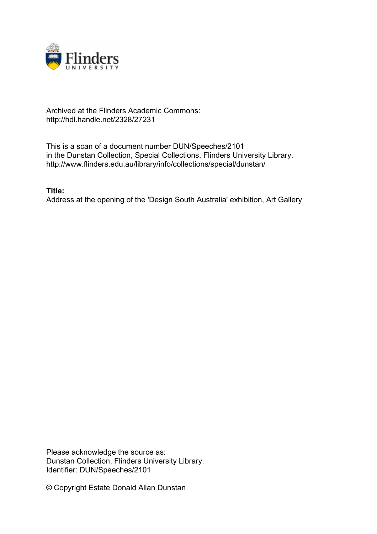

## Archived at the Flinders Academic Commons: http://hdl.handle.net/2328/27231

This is a scan of a document number DUN/Speeches/2101 in the Dunstan Collection, Special Collections, Flinders University Library. http://www.flinders.edu.au/library/info/collections/special/dunstan/

**Title:**

Address at the opening of the 'Design South Australia' exhibition, Art Gallery

Please acknowledge the source as: Dunstan Collection, Flinders University Library. Identifier: DUN/Speeches/2101

© Copyright Estate Donald Allan Dunstan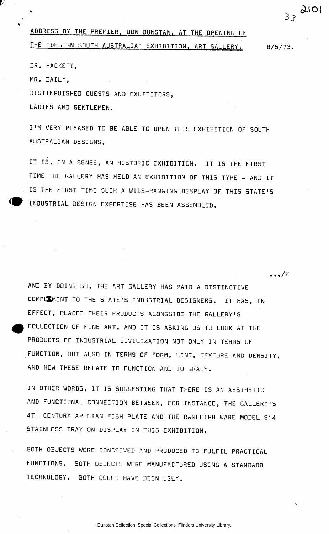## ADDRESS BY THE PREMIER. DON DUNSTAN. AT THE OPENING OF THE 'DESIGN SOUTH AUSTRALIA' EXHIBITION, ART GALLERY. 8/5/73.

 $\ldots/2$ 

3 . ?

aio i

DR. HACKETT,

MR. BAILY,

DISTINGUISHED GUESTS AND EXHIBITORS ,

LADIES AND GENTLEMEN.

I'M VERY PLEASED TO BE ABLE TO OPEN THIS EXHIBITION OF SOUTH AUSTRALIAN DESIGNS .

IT IS, IN A SENSE, AN HISTORIC EXHIBITION. IT IS THE FIRST TIME THE GALLERY HAS HELD AN EXHIBITION OF THIS TYPE - AND IT IS THE FIRST TIME SUCH A WIDE-RANGING DISPLAY OF THIS STATE'S INDUSTRIAL DESIGN EXPERTISE HAS BEEN ASSEMBLED.

AND BY DOING SO, THE ART GALLERY HAS PAID A DISTINCTIVE COMPLEMENT TO THE STATE'S INDUSTRIAL DESIGNERS. IT HAS, IN EFFECT, PLACED THEIR PRODUCTS ALONGSIDE THE GALLERY' S COLLECTION OF FINE ART, AND IT IS ASKING US TO LOOK AT THE PRODUCTS OF INDUSTRIAL CIVILIZATION NOT ONLY IN TERMS OF FUNCTION, BUT ALSO IN TERMS OF FORM, LINE, TEXTURE AND DENSITY, AND HOW THESE RELATE TO FUNCTION AND TO GRACE.

IN OTHER WORDS, IT IS SUGGESTING THAT THERE IS AN AESTHETIC AND FUNCTIONAL CONNECTION BETWEEN, FOR INSTANCE, THE GALLERY'S 4TH CENTURY APULIAN FISH PLATE AND THE RANLEIGH WARE MODEL S14 STAINLESS TRAY ON DISPLAY IN THIS EXHIBITION.

BOTH OBJECTS WERE CONCEIVED AND PRODUCED TO FULFIL PRACTICAL FUNCTIONS . BOTH OBJECTS WERE MANUFACTURED USING A STANDARD TECHNOLOGY. BOTH COULD HAVE BEEN UGLY.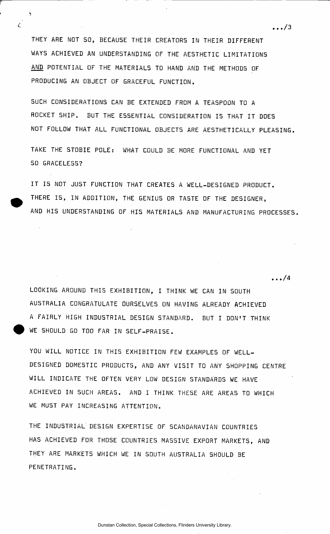THEY ARE NOT SO, BECAUSE THEIR CREATORS IN THEIR DIFFERENT WAYS ACHIEVED AN UNDERSTANDING OF THE AESTHETIC LIMITATIONS AND POTENTIAL OF THE MATERIALS TO HAND AND THE METHODS OF PRODUCING AN OBJECT OF GRACEFUL FUNCTION.

 $\zeta$ 

 $\sim 10$ 

SUCH CONSIDERATIONS CAN BE EXTENDED FROM A TEASPOON TO A ROCKET SHIP. BUT THE ESSENTIAL CONSIDERATION IS THAT IT DOES NOT FOLLOW THAT ALL FUNCTIONAL OBJECTS ARE AESTHETICALLY PLEASING.

TAKE THE STOBIE POLE: WHAT COULD BE MORE FUNCTIONAL AND YET SO GRACELESS?

IT IS NOT JUST FUNCTION THAT CREATES A WELL-DESIGNED PRODUCT. THERE IS, IN ADDITION, THE GENIUS OR TASTE OF THE DESIGNER. AND HIS UNDERSTANDING OF HIS MATERIALS AND MANUFACTURING PROCESSES.

LOOKING AROUND THIS EXHIBITION, I THINK WE CAN IN SOUTH AUSTRALIA CONGRATULATE OURSELVES ON HAVING ALREADY ACHIEVED A FAIRLY HIGH INDUSTRIAL DESIGN STANDARD. BUT I DON'T THINK WE SHOULD GO TOO FAR IN SELF-PRAISE .

YOU WILL NOTICE IN THIS EXHIBITION FEW EXAMPLES OF WELL-DESIGNED DOMESTIC PRODUCTS, AND ANY VISIT TO ANY SHOPPING CENTRE WILL INDICATE THE OFTEN VERY LOW DESIGN STANDARDS WE HAVE ACHIEVED IN SUCH AREAS. AND I THINK THESE ARE AREAS TO WHICH WE MUST PAY INCREASING ATTENTION.

THE INDUSTRIAL DESIGN EXPERTISE OF SCANDANAVIAN COUNTRIES HAS ACHIEVED FOR THOSE COUNTRIES MASSIVE EXPORT MARKETS, AND THEY ARE MARKETS WHICH WE IN SOUTH AUSTRALIA SHOULD BE PENETRATING.

 $\ldots/3$ 

 $\dots/4$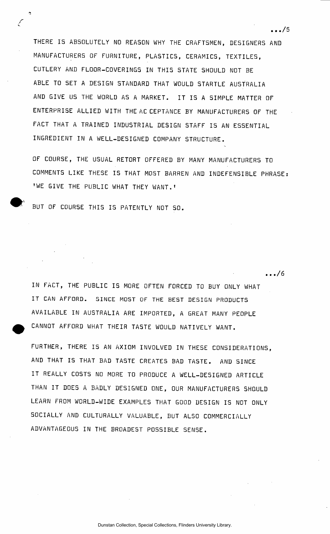THERE IS ABSOLUTELY NO REASON WHY THE CRAFTSMEN, DESIGNERS AND MANUFACTURERS OF FURNITURE, PLASTICS, CERAMICS, TEXTILES, CUTLERY AND FLOOR-COVERINGS IN THIS STATE SHOULD NOT BE ABLE TO SET A DESIGN STANDARD THAT WOULD STARTLE AUSTRALIA AND GIVE US THE WORLD AS A MARKET. IT IS A SIMPLE MATTER OF ENTERPRISE ALLIED WITH THE AC CEPTANCE BY MANUFACTURERS OF THE FACT THAT A TRAINED INDUSTRIAL DESIGN STAFF IS AN ESSENTIAL INGREDIENT IN A WELL-DESIGNED COMPANY STRUCTURE.

OF COURSE, THE USUAL RETORT OFFERED BY MANY MANUFACTURERS TO COMMENTS LIKE THESE IS THAT MOST BARREN AND INDEFENSIBLE PHRASE: 'WE GIVE THE PUBLIC WHAT THEY WANT.'

BUT OF COURSE THIS IS PATENTLY NOT SO.

Ţ

IN FACT, THE PUBLIC IS MORE OFTEN FORCED TO BUY ONLY WHAT IT CAN AFFORD. SINCE MOST OF THE BEST DESIGN PRODUCTS AVAILABLE IN AUSTRALIA ARE IMPORTED, A GREAT MANY PEOPLE CANNOT AFFORD WHAT THEIR TASTE WOULD NATIVELY WANT.

FURTHER, THERE IS AN AXIOM INVOLVED IN THESE CONSIDERATIONS, AND THAT IS THAT BAD TASTE CREATES BAD TASTE. AND SINCE IT REALLY COSTS NO MORE TO PRODUCE A WELL-DESIGNED ARTICLE THAN IT DOES A BADLY DESIGNED ONE, OUR MANUFACTURERS SHOULD LEARN FROM WORLD-WIDE EXAMPLES THAT GOOD DESIGN IS NOT ONLY SOCIALLY AND CULTURALLY VALUABLE, BUT ALSO COMMERCIALLY ADVANTAGEOUS IN THE BROADEST POSSIBLE SENSE.

 $\cdots/5$ 

 $\cdots/6$